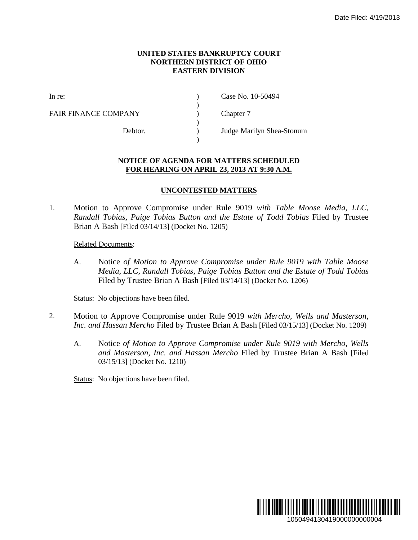## **UNITED STATES BANKRUPTCY COURT NORTHERN DISTRICT OF OHIO EASTERN DIVISION**

)

 $\lambda$ 

)

FAIR FINANCE COMPANY (and  $\Gamma$ ) Chapter 7

In re: (a) Case No. 10-50494

Debtor. ) Judge Marilyn Shea-Stonum

## **NOTICE OF AGENDA FOR MATTERS SCHEDULED FOR HEARING ON APRIL 23, 2013 AT 9:30 A.M.**

## **UNCONTESTED MATTERS**

1. Motion to Approve Compromise under Rule 9019 *with Table Moose Media, LLC, Randall Tobias, Paige Tobias Button and the Estate of Todd Tobias* Filed by Trustee Brian A Bash [Filed 03/14/13] (Docket No. 1205)

## Related Documents:

A. Notice *of Motion to Approve Compromise under Rule 9019 with Table Moose Media, LLC, Randall Tobias, Paige Tobias Button and the Estate of Todd Tobias* Filed by Trustee Brian A Bash [Filed 03/14/13] (Docket No. 1206)

Status: No objections have been filed.

- 2. Motion to Approve Compromise under Rule 9019 *with Mercho, Wells and Masterson, Inc. and Hassan Mercho* Filed by Trustee Brian A Bash [Filed 03/15/13] (Docket No. 1209)
	- A. Notice *of Motion to Approve Compromise under Rule 9019 with Mercho, Wells and Masterson, Inc. and Hassan Mercho* Filed by Trustee Brian A Bash [Filed 03/15/13] (Docket No. 1210)

Status: No objections have been filed.